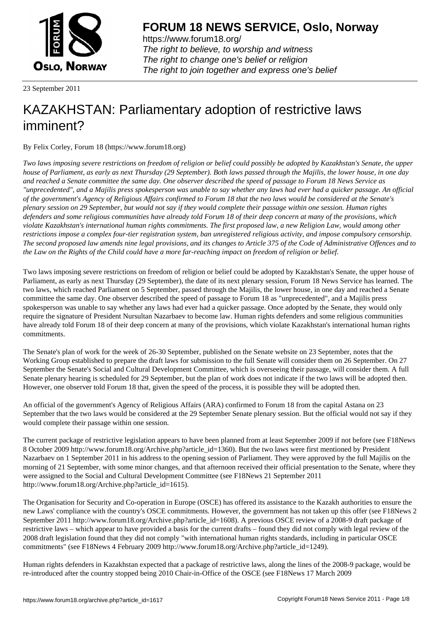

https://www.forum18.org/ The right to believe, to worship and witness The right to change one's belief or religion [The right to join together a](https://www.forum18.org/)nd express one's belief

23 September 2011

# [KAZAKHSTAN:](https://www.forum18.org) Parliamentary adoption of restrictive laws imminent?

By Felix Corley, Forum 18 (https://www.forum18.org)

*Two laws imposing severe restrictions on freedom of religion or belief could possibly be adopted by Kazakhstan's Senate, the upper house of Parliament, as early as next Thursday (29 September). Both laws passed through the Majilis, the lower house, in one day and reached a Senate committee the same day. One observer described the speed of passage to Forum 18 News Service as "unprecedented", and a Majilis press spokesperson was unable to say whether any laws had ever had a quicker passage. An official of the government's Agency of Religious Affairs confirmed to Forum 18 that the two laws would be considered at the Senate's plenary session on 29 September, but would not say if they would complete their passage within one session. Human rights defenders and some religious communities have already told Forum 18 of their deep concern at many of the provisions, which violate Kazakhstan's international human rights commitments. The first proposed law, a new Religion Law, would among other restrictions impose a complex four-tier registration system, ban unregistered religious activity, and impose compulsory censorship. The second proposed law amends nine legal provisions, and its changes to Article 375 of the Code of Administrative Offences and to the Law on the Rights of the Child could have a more far-reaching impact on freedom of religion or belief.*

Two laws imposing severe restrictions on freedom of religion or belief could be adopted by Kazakhstan's Senate, the upper house of Parliament, as early as next Thursday (29 September), the date of its next plenary session, Forum 18 News Service has learned. The two laws, which reached Parliament on 5 September, passed through the Majilis, the lower house, in one day and reached a Senate committee the same day. One observer described the speed of passage to Forum 18 as "unprecedented", and a Majilis press spokesperson was unable to say whether any laws had ever had a quicker passage. Once adopted by the Senate, they would only require the signature of President Nursultan Nazarbaev to become law. Human rights defenders and some religious communities have already told Forum 18 of their deep concern at many of the provisions, which violate Kazakhstan's international human rights commitments.

The Senate's plan of work for the week of 26-30 September, published on the Senate website on 23 September, notes that the Working Group established to prepare the draft laws for submission to the full Senate will consider them on 26 September. On 27 September the Senate's Social and Cultural Development Committee, which is overseeing their passage, will consider them. A full Senate plenary hearing is scheduled for 29 September, but the plan of work does not indicate if the two laws will be adopted then. However, one observer told Forum 18 that, given the speed of the process, it is possible they will be adopted then.

An official of the government's Agency of Religious Affairs (ARA) confirmed to Forum 18 from the capital Astana on 23 September that the two laws would be considered at the 29 September Senate plenary session. But the official would not say if they would complete their passage within one session.

The current package of restrictive legislation appears to have been planned from at least September 2009 if not before (see F18News 8 October 2009 http://www.forum18.org/Archive.php?article\_id=1360). But the two laws were first mentioned by President Nazarbaev on 1 September 2011 in his address to the opening session of Parliament. They were approved by the full Majilis on the morning of 21 September, with some minor changes, and that afternoon received their official presentation to the Senate, where they were assigned to the Social and Cultural Development Committee (see F18News 21 September 2011 http://www.forum18.org/Archive.php?article\_id=1615).

The Organisation for Security and Co-operation in Europe (OSCE) has offered its assistance to the Kazakh authorities to ensure the new Laws' compliance with the country's OSCE commitments. However, the government has not taken up this offer (see F18News 2 September 2011 http://www.forum18.org/Archive.php?article\_id=1608). A previous OSCE review of a 2008-9 draft package of restrictive laws – which appear to have provided a basis for the current drafts – found they did not comply with legal review of the 2008 draft legislation found that they did not comply "with international human rights standards, including in particular OSCE commitments" (see F18News 4 February 2009 http://www.forum18.org/Archive.php?article\_id=1249).

Human rights defenders in Kazakhstan expected that a package of restrictive laws, along the lines of the 2008-9 package, would be re-introduced after the country stopped being 2010 Chair-in-Office of the OSCE (see F18News 17 March 2009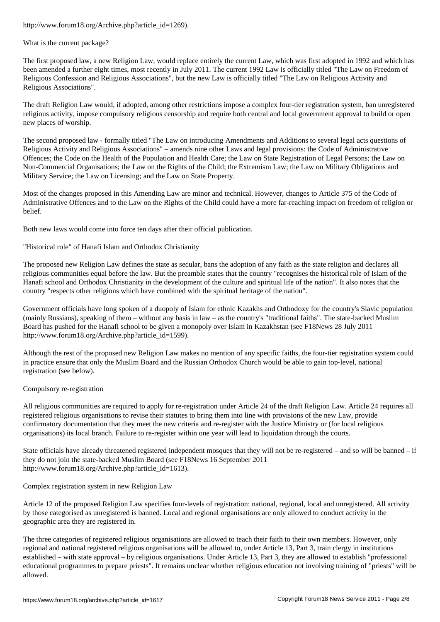What is the current package?

The first proposed law, a new Religion Law, would replace entirely the current Law, which was first adopted in 1992 and which has been amended a further eight times, most recently in July 2011. The current 1992 Law is officially titled "The Law on Freedom of Religious Confession and Religious Associations", but the new Law is officially titled "The Law on Religious Activity and Religious Associations".

The draft Religion Law would, if adopted, among other restrictions impose a complex four-tier registration system, ban unregistered religious activity, impose compulsory religious censorship and require both central and local government approval to build or open new places of worship.

The second proposed law - formally titled "The Law on introducing Amendments and Additions to several legal acts questions of Religious Activity and Religious Associations" – amends nine other Laws and legal provisions: the Code of Administrative Offences; the Code on the Health of the Population and Health Care; the Law on State Registration of Legal Persons; the Law on Non-Commercial Organisations; the Law on the Rights of the Child; the Extremism Law; the Law on Military Obligations and Military Service; the Law on Licensing; and the Law on State Property.

Most of the changes proposed in this Amending Law are minor and technical. However, changes to Article 375 of the Code of Administrative Offences and to the Law on the Rights of the Child could have a more far-reaching impact on freedom of religion or belief.

Both new laws would come into force ten days after their official publication.

"Historical role" of Hanafi Islam and Orthodox Christianity

The proposed new Religion Law defines the state as secular, bans the adoption of any faith as the state religion and declares all religious communities equal before the law. But the preamble states that the country "recognises the historical role of Islam of the Hanafi school and Orthodox Christianity in the development of the culture and spiritual life of the nation". It also notes that the country "respects other religions which have combined with the spiritual heritage of the nation".

Government officials have long spoken of a duopoly of Islam for ethnic Kazakhs and Orthodoxy for the country's Slavic population (mainly Russians), speaking of them – without any basis in law – as the country's "traditional faiths". The state-backed Muslim Board has pushed for the Hanafi school to be given a monopoly over Islam in Kazakhstan (see F18News 28 July 2011 http://www.forum18.org/Archive.php?article\_id=1599).

Although the rest of the proposed new Religion Law makes no mention of any specific faiths, the four-tier registration system could in practice ensure that only the Muslim Board and the Russian Orthodox Church would be able to gain top-level, national registration (see below).

#### Compulsory re-registration

All religious communities are required to apply for re-registration under Article 24 of the draft Religion Law. Article 24 requires all registered religious organisations to revise their statutes to bring them into line with provisions of the new Law, provide confirmatory documentation that they meet the new criteria and re-register with the Justice Ministry or (for local religious organisations) its local branch. Failure to re-register within one year will lead to liquidation through the courts.

State officials have already threatened registered independent mosques that they will not be re-registered – and so will be banned – if they do not join the state-backed Muslim Board (see F18News 16 September 2011 http://www.forum18.org/Archive.php?article\_id=1613).

Complex registration system in new Religion Law

Article 12 of the proposed Religion Law specifies four-levels of registration: national, regional, local and unregistered. All activity by those categorised as unregistered is banned. Local and regional organisations are only allowed to conduct activity in the geographic area they are registered in.

The three categories of registered religious organisations are allowed to teach their faith to their own members. However, only regional and national registered religious organisations will be allowed to, under Article 13, Part 3, train clergy in institutions established – with state approval – by religious organisations. Under Article 13, Part 3, they are allowed to establish "professional educational programmes to prepare priests". It remains unclear whether religious education not involving training of "priests" will be allowed.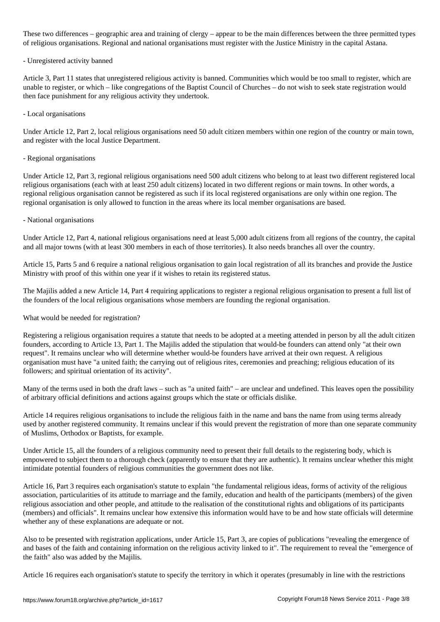These two differences – geographic area and training of clergy – appear to be the main differences between the three permitted types of religious organisations. Regional and national organisations must register with the Justice Ministry in the capital Astana.

#### - Unregistered activity banned

Article 3, Part 11 states that unregistered religious activity is banned. Communities which would be too small to register, which are unable to register, or which – like congregations of the Baptist Council of Churches – do not wish to seek state registration would then face punishment for any religious activity they undertook.

#### - Local organisations

Under Article 12, Part 2, local religious organisations need 50 adult citizen members within one region of the country or main town, and register with the local Justice Department.

#### - Regional organisations

Under Article 12, Part 3, regional religious organisations need 500 adult citizens who belong to at least two different registered local religious organisations (each with at least 250 adult citizens) located in two different regions or main towns. In other words, a regional religious organisation cannot be registered as such if its local registered organisations are only within one region. The regional organisation is only allowed to function in the areas where its local member organisations are based.

#### - National organisations

Under Article 12, Part 4, national religious organisations need at least 5,000 adult citizens from all regions of the country, the capital and all major towns (with at least 300 members in each of those territories). It also needs branches all over the country.

Article 15, Parts 5 and 6 require a national religious organisation to gain local registration of all its branches and provide the Justice Ministry with proof of this within one year if it wishes to retain its registered status.

The Majilis added a new Article 14, Part 4 requiring applications to register a regional religious organisation to present a full list of the founders of the local religious organisations whose members are founding the regional organisation.

What would be needed for registration?

Registering a religious organisation requires a statute that needs to be adopted at a meeting attended in person by all the adult citizen founders, according to Article 13, Part 1. The Majilis added the stipulation that would-be founders can attend only "at their own request". It remains unclear who will determine whether would-be founders have arrived at their own request. A religious organisation must have "a united faith; the carrying out of religious rites, ceremonies and preaching; religious education of its followers; and spiritual orientation of its activity".

Many of the terms used in both the draft laws – such as "a united faith" – are unclear and undefined. This leaves open the possibility of arbitrary official definitions and actions against groups which the state or officials dislike.

Article 14 requires religious organisations to include the religious faith in the name and bans the name from using terms already used by another registered community. It remains unclear if this would prevent the registration of more than one separate community of Muslims, Orthodox or Baptists, for example.

Under Article 15, all the founders of a religious community need to present their full details to the registering body, which is empowered to subject them to a thorough check (apparently to ensure that they are authentic). It remains unclear whether this might intimidate potential founders of religious communities the government does not like.

Article 16, Part 3 requires each organisation's statute to explain "the fundamental religious ideas, forms of activity of the religious association, particularities of its attitude to marriage and the family, education and health of the participants (members) of the given religious association and other people, and attitude to the realisation of the constitutional rights and obligations of its participants (members) and officials". It remains unclear how extensive this information would have to be and how state officials will determine whether any of these explanations are adequate or not.

Also to be presented with registration applications, under Article 15, Part 3, are copies of publications "revealing the emergence of and bases of the faith and containing information on the religious activity linked to it". The requirement to reveal the "emergence of the faith" also was added by the Majilis.

Article 16 requires each organisation's statute to specify the territory in which it operates (presumably in line with the restrictions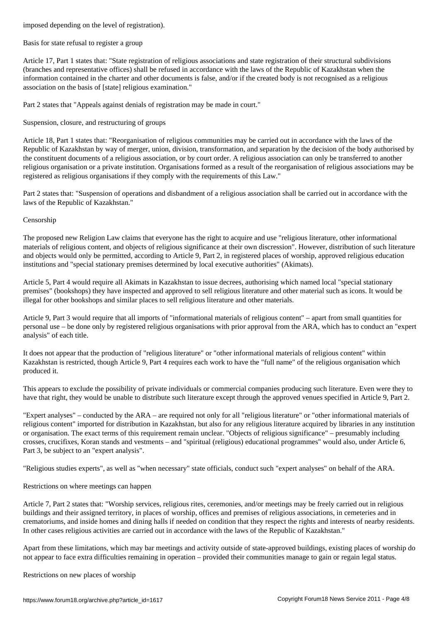Basis for state refusal to register a group

Article 17, Part 1 states that: "State registration of religious associations and state registration of their structural subdivisions (branches and representative offices) shall be refused in accordance with the laws of the Republic of Kazakhstan when the information contained in the charter and other documents is false, and/or if the created body is not recognised as a religious association on the basis of [state] religious examination."

Part 2 states that "Appeals against denials of registration may be made in court."

Suspension, closure, and restructuring of groups

Article 18, Part 1 states that: "Reorganisation of religious communities may be carried out in accordance with the laws of the Republic of Kazakhstan by way of merger, union, division, transformation, and separation by the decision of the body authorised by the constituent documents of a religious association, or by court order. A religious association can only be transferred to another religious organisation or a private institution. Organisations formed as a result of the reorganisation of religious associations may be registered as religious organisations if they comply with the requirements of this Law."

Part 2 states that: "Suspension of operations and disbandment of a religious association shall be carried out in accordance with the laws of the Republic of Kazakhstan."

#### Censorship

The proposed new Religion Law claims that everyone has the right to acquire and use "religious literature, other informational materials of religious content, and objects of religious significance at their own discression". However, distribution of such literature and objects would only be permitted, according to Article 9, Part 2, in registered places of worship, approved religious education institutions and "special stationary premises determined by local executive authorities" (Akimats).

Article 5, Part 4 would require all Akimats in Kazakhstan to issue decrees, authorising which named local "special stationary premises" (bookshops) they have inspected and approved to sell religious literature and other material such as icons. It would be illegal for other bookshops and similar places to sell religious literature and other materials.

Article 9, Part 3 would require that all imports of "informational materials of religious content" – apart from small quantities for personal use – be done only by registered religious organisations with prior approval from the ARA, which has to conduct an "expert analysis" of each title.

It does not appear that the production of "religious literature" or "other informational materials of religious content" within Kazakhstan is restricted, though Article 9, Part 4 requires each work to have the "full name" of the religious organisation which produced it.

This appears to exclude the possibility of private individuals or commercial companies producing such literature. Even were they to have that right, they would be unable to distribute such literature except through the approved venues specified in Article 9, Part 2.

"Expert analyses" – conducted by the ARA – are required not only for all "religious literature" or "other informational materials of religious content" imported for distribution in Kazakhstan, but also for any religious literature acquired by libraries in any institution or organisation. The exact terms of this requirement remain unclear. "Objects of religious significance" – presumably including crosses, crucifixes, Koran stands and vestments – and "spiritual (religious) educational programmes" would also, under Article 6, Part 3, be subject to an "expert analysis".

"Religious studies experts", as well as "when necessary" state officials, conduct such "expert analyses" on behalf of the ARA.

Restrictions on where meetings can happen

Article 7, Part 2 states that: "Worship services, religious rites, ceremonies, and/or meetings may be freely carried out in religious buildings and their assigned territory, in places of worship, offices and premises of religious associations, in cemeteries and in crematoriums, and inside homes and dining halls if needed on condition that they respect the rights and interests of nearby residents. In other cases religious activities are carried out in accordance with the laws of the Republic of Kazakhstan."

Apart from these limitations, which may bar meetings and activity outside of state-approved buildings, existing places of worship do not appear to face extra difficulties remaining in operation – provided their communities manage to gain or regain legal status.

Restrictions on new places of worship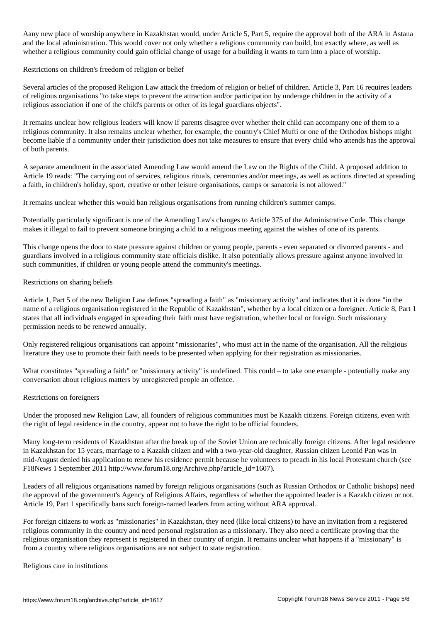Aany new place of worship anywhere in Kazakhstan would, under Article 5, Part 5, require the approval both of the ARA in Astana and the local administration. This would cover not only whether a religious community can build, but exactly where, as well as whether a religious community could gain official change of usage for a building it wants to turn into a place of worship.

Restrictions on children's freedom of religion or belief

Several articles of the proposed Religion Law attack the freedom of religion or belief of children. Article 3, Part 16 requires leaders of religious organisations "to take steps to prevent the attraction and/or participation by underage children in the activity of a religious association if one of the child's parents or other of its legal guardians objects".

It remains unclear how religious leaders will know if parents disagree over whether their child can accompany one of them to a religious community. It also remains unclear whether, for example, the country's Chief Mufti or one of the Orthodox bishops might become liable if a community under their jurisdiction does not take measures to ensure that every child who attends has the approval of both parents.

A separate amendment in the associated Amending Law would amend the Law on the Rights of the Child. A proposed addition to Article 19 reads: "The carrying out of services, religious rituals, ceremonies and/or meetings, as well as actions directed at spreading a faith, in children's holiday, sport, creative or other leisure organisations, camps or sanatoria is not allowed."

It remains unclear whether this would ban religious organisations from running children's summer camps.

Potentially particularly significant is one of the Amending Law's changes to Article 375 of the Administrative Code. This change makes it illegal to fail to prevent someone bringing a child to a religious meeting against the wishes of one of its parents.

This change opens the door to state pressure against children or young people, parents - even separated or divorced parents - and guardians involved in a religious community state officials dislike. It also potentially allows pressure against anyone involved in such communities, if children or young people attend the community's meetings.

Restrictions on sharing beliefs

Article 1, Part 5 of the new Religion Law defines "spreading a faith" as "missionary activity" and indicates that it is done "in the name of a religious organisation registered in the Republic of Kazakhstan", whether by a local citizen or a foreigner. Article 8, Part 1 states that all individuals engaged in spreading their faith must have registration, whether local or foreign. Such missionary permission needs to be renewed annually.

Only registered religious organisations can appoint "missionaries", who must act in the name of the organisation. All the religious literature they use to promote their faith needs to be presented when applying for their registration as missionaries.

What constitutes "spreading a faith" or "missionary activity" is undefined. This could – to take one example - potentially make any conversation about religious matters by unregistered people an offence.

Restrictions on foreigners

Under the proposed new Religion Law, all founders of religious communities must be Kazakh citizens. Foreign citizens, even with the right of legal residence in the country, appear not to have the right to be official founders.

Many long-term residents of Kazakhstan after the break up of the Soviet Union are technically foreign citizens. After legal residence in Kazakhstan for 15 years, marriage to a Kazakh citizen and with a two-year-old daughter, Russian citizen Leonid Pan was in mid-August denied his application to renew his residence permit because he volunteers to preach in his local Protestant church (see F18News 1 September 2011 http://www.forum18.org/Archive.php?article\_id=1607).

Leaders of all religious organisations named by foreign religious organisations (such as Russian Orthodox or Catholic bishops) need the approval of the government's Agency of Religious Affairs, regardless of whether the appointed leader is a Kazakh citizen or not. Article 19, Part 1 specifically bans such foreign-named leaders from acting without ARA approval.

For foreign citizens to work as "missionaries" in Kazakhstan, they need (like local citizens) to have an invitation from a registered religious community in the country and need personal registration as a missionary. They also need a certificate proving that the religious organisation they represent is registered in their country of origin. It remains unclear what happens if a "missionary" is from a country where religious organisations are not subject to state registration.

Religious care in institutions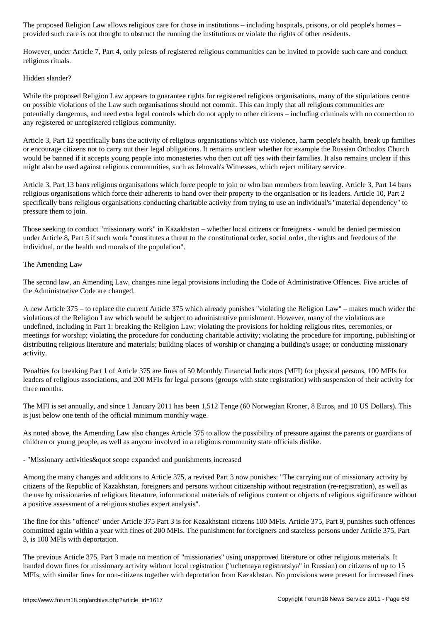provided such care is not thought to obstruct the running the institutions or violate the rights of other residents.

However, under Article 7, Part 4, only priests of registered religious communities can be invited to provide such care and conduct religious rituals.

# Hidden slander?

While the proposed Religion Law appears to guarantee rights for registered religious organisations, many of the stipulations centre on possible violations of the Law such organisations should not commit. This can imply that all religious communities are potentially dangerous, and need extra legal controls which do not apply to other citizens – including criminals with no connection to any registered or unregistered religious community.

Article 3, Part 12 specifically bans the activity of religious organisations which use violence, harm people's health, break up families or encourage citizens not to carry out their legal obligations. It remains unclear whether for example the Russian Orthodox Church would be banned if it accepts young people into monasteries who then cut off ties with their families. It also remains unclear if this might also be used against religious communities, such as Jehovah's Witnesses, which reject military service.

Article 3, Part 13 bans religious organisations which force people to join or who ban members from leaving. Article 3, Part 14 bans religious organisations which force their adherents to hand over their property to the organisation or its leaders. Article 10, Part 2 specifically bans religious organisations conducting charitable activity from trying to use an individual's "material dependency" to pressure them to join.

Those seeking to conduct "missionary work" in Kazakhstan – whether local citizens or foreigners - would be denied permission under Article 8, Part 5 if such work "constitutes a threat to the constitutional order, social order, the rights and freedoms of the individual, or the health and morals of the population".

## The Amending Law

The second law, an Amending Law, changes nine legal provisions including the Code of Administrative Offences. Five articles of the Administrative Code are changed.

A new Article 375 – to replace the current Article 375 which already punishes "violating the Religion Law" – makes much wider the violations of the Religion Law which would be subject to administrative punishment. However, many of the violations are undefined, including in Part 1: breaking the Religion Law; violating the provisions for holding religious rites, ceremonies, or meetings for worship; violating the procedure for conducting charitable activity; violating the procedure for importing, publishing or distributing religious literature and materials; building places of worship or changing a building's usage; or conducting missionary activity.

Penalties for breaking Part 1 of Article 375 are fines of 50 Monthly Financial Indicators (MFI) for physical persons, 100 MFIs for leaders of religious associations, and 200 MFIs for legal persons (groups with state registration) with suspension of their activity for three months.

The MFI is set annually, and since 1 January 2011 has been 1,512 Tenge (60 Norwegian Kroner, 8 Euros, and 10 US Dollars). This is just below one tenth of the official minimum monthly wage.

As noted above, the Amending Law also changes Article 375 to allow the possibility of pressure against the parents or guardians of children or young people, as well as anyone involved in a religious community state officials dislike.

- "Missionary activities & quot scope expanded and punishments increased

Among the many changes and additions to Article 375, a revised Part 3 now punishes: "The carrying out of missionary activity by citizens of the Republic of Kazakhstan, foreigners and persons without citizenship without registration (re-registration), as well as the use by missionaries of religious literature, informational materials of religious content or objects of religious significance without a positive assessment of a religious studies expert analysis".

The fine for this "offence" under Article 375 Part 3 is for Kazakhstani citizens 100 MFIs. Article 375, Part 9, punishes such offences committed again within a year with fines of 200 MFIs. The punishment for foreigners and stateless persons under Article 375, Part 3, is 100 MFIs with deportation.

The previous Article 375, Part 3 made no mention of "missionaries" using unapproved literature or other religious materials. It handed down fines for missionary activity without local registration ("uchetnaya registratsiya" in Russian) on citizens of up to 15 MFIs, with similar fines for non-citizens together with deportation from Kazakhstan. No provisions were present for increased fines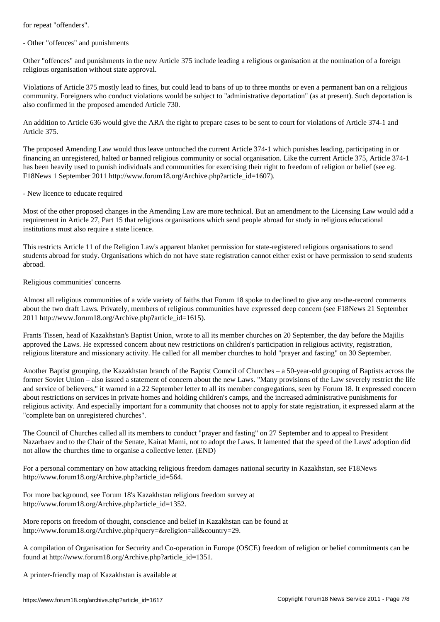- Other "offences" and punishments

Other "offences" and punishments in the new Article 375 include leading a religious organisation at the nomination of a foreign religious organisation without state approval.

Violations of Article 375 mostly lead to fines, but could lead to bans of up to three months or even a permanent ban on a religious community. Foreigners who conduct violations would be subject to "administrative deportation" (as at present). Such deportation is also confirmed in the proposed amended Article 730.

An addition to Article 636 would give the ARA the right to prepare cases to be sent to court for violations of Article 374-1 and Article 375.

The proposed Amending Law would thus leave untouched the current Article 374-1 which punishes leading, participating in or financing an unregistered, halted or banned religious community or social organisation. Like the current Article 375, Article 374-1 has been heavily used to punish individuals and communities for exercising their right to freedom of religion or belief (see eg. F18News 1 September 2011 http://www.forum18.org/Archive.php?article\_id=1607).

#### - New licence to educate required

Most of the other proposed changes in the Amending Law are more technical. But an amendment to the Licensing Law would add a requirement in Article 27, Part 15 that religious organisations which send people abroad for study in religious educational institutions must also require a state licence.

This restricts Article 11 of the Religion Law's apparent blanket permission for state-registered religious organisations to send students abroad for study. Organisations which do not have state registration cannot either exist or have permission to send students abroad.

### Religious communities' concerns

Almost all religious communities of a wide variety of faiths that Forum 18 spoke to declined to give any on-the-record comments about the two draft Laws. Privately, members of religious communities have expressed deep concern (see F18News 21 September 2011 http://www.forum18.org/Archive.php?article\_id=1615).

Frants Tissen, head of Kazakhstan's Baptist Union, wrote to all its member churches on 20 September, the day before the Majilis approved the Laws. He expressed concern about new restrictions on children's participation in religious activity, registration, religious literature and missionary activity. He called for all member churches to hold "prayer and fasting" on 30 September.

Another Baptist grouping, the Kazakhstan branch of the Baptist Council of Churches – a 50-year-old grouping of Baptists across the former Soviet Union – also issued a statement of concern about the new Laws. "Many provisions of the Law severely restrict the life and service of believers," it warned in a 22 September letter to all its member congregations, seen by Forum 18. It expressed concern about restrictions on services in private homes and holding children's camps, and the increased administrative punishments for religious activity. And especially important for a community that chooses not to apply for state registration, it expressed alarm at the "complete ban on unregistered churches".

The Council of Churches called all its members to conduct "prayer and fasting" on 27 September and to appeal to President Nazarbaev and to the Chair of the Senate, Kairat Mami, not to adopt the Laws. It lamented that the speed of the Laws' adoption did not allow the churches time to organise a collective letter. (END)

For a personal commentary on how attacking religious freedom damages national security in Kazakhstan, see F18News http://www.forum18.org/Archive.php?article\_id=564.

For more background, see Forum 18's Kazakhstan religious freedom survey at http://www.forum18.org/Archive.php?article\_id=1352.

More reports on freedom of thought, conscience and belief in Kazakhstan can be found at http://www.forum18.org/Archive.php?query=&religion=all&country=29.

A compilation of Organisation for Security and Co-operation in Europe (OSCE) freedom of religion or belief commitments can be found at http://www.forum18.org/Archive.php?article\_id=1351.

A printer-friendly map of Kazakhstan is available at